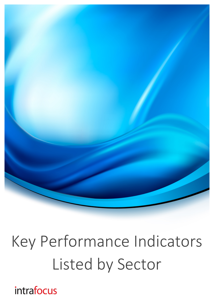

# Key Performance Indicators Listed by Sector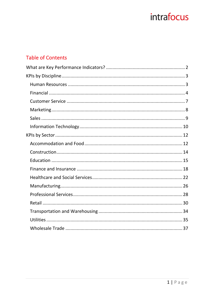#### **Table of Contents**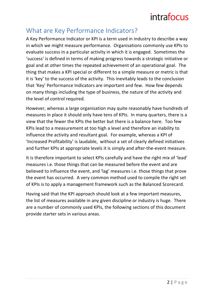#### What are Key Performance Indicators?

A Key Performance Indicator or KPI is a term used in industry to describe a way in which we might measure performance. Organisations commonly use KPIs to evaluate success in a particular activity in which it is engaged. Sometimes the 'success' is defined in terms of making progress towards a strategic initiative or goal and at other times the repeated achievement of an operational goal. The thing that makes a KPI special or different to a simple measure or metric is that it is 'key' to the success of the activity. This inevitably leads to the conclusion that 'Key' Performance Indicators are important and few. How few depends on many things including the type of business, the nature of the activity and the level of control required.

However, whereas a large organisation may quite reasonably have hundreds of measures in place it should only have tens of KPIs. In many quarters, there is a view that the fewer the KPIs the better but there is a balance here. Too few KPIs lead to a measurement at too high a level and therefore an inability to influence the activity and resultant goal. For example, whereas a KPI of 'Increased Profitability' is laudable, without a set of clearly defined initiatives and further KPIs at appropriate levels it is simply and after-the-event measure.

It is therefore important to select KPIs carefully and have the right mix of 'lead' measures i.e. those things that can be measured before the event and are believed to influence the event, and 'lag' measures i.e. those things that prove the event has occurred. A very common method used to compile the right set of KPIs is to apply a management framework such as the Balanced Scorecard.

Having said that the KPI approach should look at a few important measures, the list of measures available in any given discipline or industry is huge. There are a number of commonly used KPIs, the following sections of this document provide starter sets in various areas.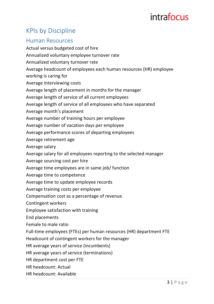#### **KPIs by Discipline**

#### Human Resources

Actual versus budgeted cost of hire Annualized voluntary employee turnover rate Annualized voluntary turnover rate Average headcount of employees each human resources (HR) employee working is caring for Average interviewing costs Average length of placement in months for the manager Average length of service of all current employees Average length of service of all employees who have separated Average month's placement Average number of training hours per employee Average number of vacation days per employee Average performance scores of departing employees Average retirement age Average salary Average salary for all employees reporting to the selected manager Average sourcing cost per hire Average time employees are in same job/ function Average time to competence Average time to update employee records Average training costs per employee Compensation cost as a percentage of revenue Contingent workers Employee satisfaction with training End placements Female to male ratio Full-time employees (FTEs) per human resources (HR) department FTE Headcount of contingent workers for the manager HR average years of service (incumbents) HR average years of service (terminations) HR department cost per FTE HR headcount: Actual

HR headcount: Available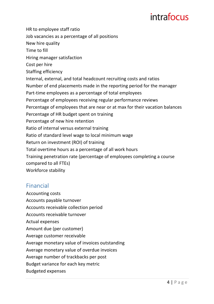HR to employee staff ratio Job vacancies as a percentage of all positions New hire quality Time to fill Hiring manager satisfaction Cost per hire Staffing efficiency Internal, external, and total headcount recruiting costs and ratios Number of end placements made in the reporting period for the manager Part-time employees as a percentage of total employees Percentage of employees receiving regular performance reviews Percentage of employees that are near or at max for their vacation balances Percentage of HR budget spent on training Percentage of new hire retention Ratio of internal versus external training Ratio of standard level wage to local minimum wage Return on investment (ROI) of training Total overtime hours as a percentage of all work hours Training penetration rate (percentage of employees completing a course compared to all FTEs) Workforce stability

#### Financial

**Accounting costs** Accounts payable turnover Accounts receivable collection period Accounts receivable turnover Actual expenses Amount due (per customer) Average customer receivable Average monetary value of invoices outstanding Average monetary value of overdue invoices Average number of trackbacks per post Budget variance for each key metric Budgeted expenses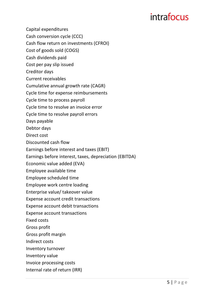Capital expenditures

Cash conversion cycle (CCC)

Cash flow return on investments (CFROI)

Cost of goods sold (COGS)

Cash dividends paid

Cost per pay slip issued

Creditor days

Current receivables

Cumulative annual growth rate (CAGR)

Cycle time for expense reimbursements

Cycle time to process payroll

Cycle time to resolve an invoice error

Cycle time to resolve payroll errors

Days payable

Debtor days

Direct cost

Discounted cash flow

Earnings before interest and taxes (EBIT)

Earnings before interest, taxes, depreciation (EBITDA)

Economic value added (EVA)

Employee available time

Employee scheduled time

Employee work centre loading

Enterprise value/ takeover value

Expense account credit transactions

Expense account debit transactions

Expense account transactions

Fixed costs

Gross profit

Gross profit margin

Indirect costs

Inventory turnover

Inventory value

Invoice processing costs

Internal rate of return (IRR)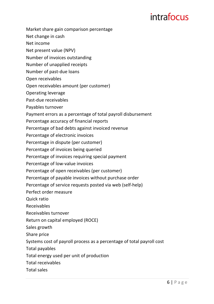- Market share gain comparison percentage
- Net change in cash
- Net income
- Net present value (NPV)
- Number of invoices outstanding
- Number of unapplied receipts
- Number of past-due loans
- Open receivables
- Open receivables amount (per customer)
- Operating leverage
- Past-due receivables
- Payables turnover
- Payment errors as a percentage of total payroll disbursement
- Percentage accuracy of financial reports
- Percentage of bad debts against invoiced revenue
- Percentage of electronic invoices
- Percentage in dispute (per customer)
- Percentage of invoices being queried
- Percentage of invoices requiring special payment
- Percentage of low-value invoices
- Percentage of open receivables (per customer)
- Percentage of payable invoices without purchase order
- Percentage of service requests posted via web (self-help)
- Perfect order measure
- Quick ratio
- Receivables
- Receivables turnover
- Return on capital employed (ROCE)
- Sales growth
- Share price
- Systems cost of payroll process as a percentage of total payroll cost
- Total payables
- Total energy used per unit of production
- Total receivables
- Total sales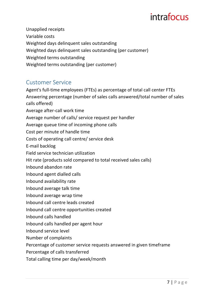Unapplied receipts Variable costs Weighted days delinquent sales outstanding Weighted days delinquent sales outstanding (per customer) Weighted terms outstanding Weighted terms outstanding (per customer)

#### Customer Service

Agent's full-time employees (FTEs) as percentage of total call center FTEs Answering percentage (number of sales calls answered/total number of sales calls offered) Average after-call work time Average number of calls/ service request per handler Average queue time of incoming phone calls Cost per minute of handle time Costs of operating call centre/ service desk E-mail backlog Field service technician utilization Hit rate (products sold compared to total received sales calls) Inbound abandon rate Inbound agent dialled calls Inbound availability rate Inbound average talk time Inbound average wrap time Inbound call centre leads created Inbound call centre opportunities created Inbound calls handled Inbound calls handled per agent hour Inbound service level Number of complaints Percentage of customer service requests answered in given timeframe Percentage of calls transferred

Total calling time per day/week/month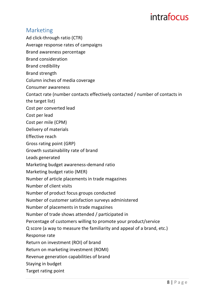#### Marketing

- Ad click-through ratio (CTR)
- Average response rates of campaigns
- Brand awareness percentage
- Brand consideration
- Brand credibility
- Brand strength
- Column inches of media coverage
- Consumer awareness
- Contact rate (number contacts effectively contacted / number of contacts in the target list)
- Cost per converted lead
- Cost per lead
- Cost per mile (CPM)
- Delivery of materials
- Effective reach
- Gross rating point (GRP)
- Growth sustainability rate of brand
- Leads generated
- Marketing budget awareness-demand ratio
- Marketing budget ratio (MER)
- Number of article placements in trade magazines
- Number of client visits
- Number of product focus groups conducted
- Number of customer satisfaction surveys administered
- Number of placements in trade magazines
- Number of trade shows attended / participated in
- Percentage of customers willing to promote your product/service
- Q score (a way to measure the familiarity and appeal of a brand, etc.)
- Response rate
- Return on investment (ROI) of brand
- Return on marketing investment (ROMI)
- Revenue generation capabilities of brand
- Staying in budget
- Target rating point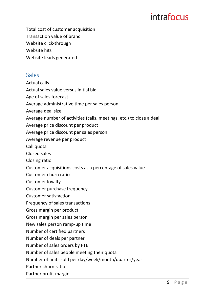Total cost of customer acquisition Transaction value of brand Website click-through Website hits Website leads generated

#### Sales

Actual calls

Actual sales value versus initial bid

Age of sales forecast

Average administrative time per sales person

Average deal size

Average number of activities (calls, meetings, etc.) to close a deal

Average price discount per product

Average price discount per sales person

Average revenue per product

Call quota

Closed sales

Closing ratio

Customer acquisitions costs as a percentage of sales value

Customer churn ratio

Customer lovalty

Customer purchase frequency

Customer satisfaction

Frequency of sales transactions

Gross margin per product

Gross margin per sales person

New sales person ramp-up time

Number of certified partners

Number of deals per partner

Number of sales orders by FTE

Number of sales people meeting their quota

Number of units sold per day/week/month/quarter/year

Partner churn ratio

Partner profit margin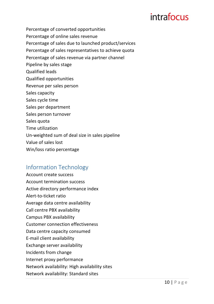Percentage of converted opportunities Percentage of online sales revenue Percentage of sales due to launched product/services Percentage of sales representatives to achieve quota Percentage of sales revenue via partner channel Pipeline by sales stage Qualified leads Qualified opportunities Revenue per sales person Sales capacity Sales cycle time Sales per department Sales person turnover Sales quota Time utilization Un-weighted sum of deal size in sales pipeline Value of sales lost Win/loss ratio percentage

#### Information Technology

Account create success Account termination success Active directory performance index Alert-to-ticket ratio Average data centre availability Call centre PBX availability Campus PBX availability Customer connection effectiveness Data centre capacity consumed E-mail client availability Exchange server availability Incidents from change Internet proxy performance Network availability: High availability sites Network availability: Standard sites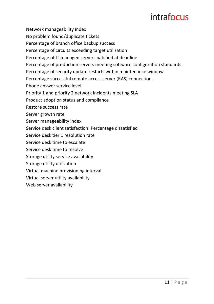Network manageability index

No problem found/duplicate tickets

Percentage of branch office backup success

Percentage of circuits exceeding target utilization

Percentage of IT managed servers patched at deadline

Percentage of production servers meeting software configuration standards

Percentage of security update restarts within maintenance window

Percentage successful remote access server (RAS) connections

Phone answer service level

Priority 1 and priority 2 network incidents meeting SLA

Product adoption status and compliance

Restore success rate

Server growth rate

Server manageability index

Service desk client satisfaction: Percentage dissatisfied

Service desk tier 1 resolution rate

Service desk time to escalate

Service desk time to resolve

Storage utility service availability

Storage utility utilization

Virtual machine provisioning interval

Virtual server utility availability

Web server availability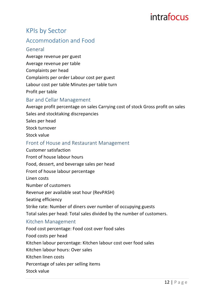#### KPIs by Sector

#### Accommodation and Food

#### General

Average revenue per guest

Average revenue per table

Complaints per head

Complaints per order Labour cost per guest

- Labour cost per table Minutes per table turn
- Profit per table

#### Bar and Cellar Management

Average profit percentage on sales Carrying cost of stock Gross profit on sales Sales and stocktaking discrepancies

- Sales per head
- Stock turnover

Stock value

#### Front of House and Restaurant Management

Customer satisfaction Front of house labour hours Food, dessert, and beverage sales per head Front of house labour percentage Linen costs Number of customers Revenue per available seat hour (RevPASH) Seating efficiency Strike rate: Number of diners over number of occupying guests Total sales per head: Total sales divided by the number of customers. Kitchen Management Food cost percentage: Food cost over food sales Food costs per head Kitchen labour percentage: Kitchen labour cost over food sales Kitchen labour hours: Over sales Kitchen linen costs Percentage of sales per selling items Stock value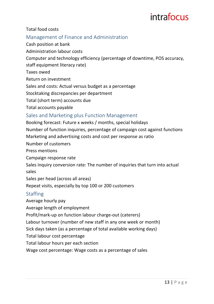#### Total food costs

#### Management of Finance and Administration

Cash position at bank

Administration labour costs

Computer and technology efficiency (percentage of downtime, POS accuracy,

staff equipment literacy rate)

Taxes owed

Return on investment

Sales and costs: Actual versus budget as a percentage

Stocktaking discrepancies per department

Total (short term) accounts due

Total accounts payable

#### Sales and Marketing plus Function Management

Booking forecast: Future x weeks / months, special holidays

Number of function inquiries, percentage of campaign cost against functions

Marketing and advertising costs and cost per response as ratio

Number of customers

Press mentions

Campaign response rate

Sales inquiry conversion rate: The number of inquiries that turn into actual sales 

Sales per head (across all areas)

Repeat visits, especially by top 100 or 200 customers

#### **Staffing**

Average hourly pay

Average length of employment

Profit/mark-up on function labour charge-out (caterers)

Labour turnover (number of new staff in any one week or month)

Sick days taken (as a percentage of total available working days)

Total labour cost percentage

Total labour hours per each section

Wage cost percentage: Wage costs as a percentage of sales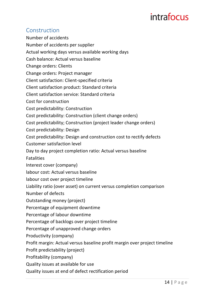#### Construction

Number of accidents Number of accidents per supplier Actual working days versus available working days Cash balance: Actual versus baseline Change orders: Clients Change orders: Project manager Client satisfaction: Client-specified criteria Client satisfaction product: Standard criteria Client satisfaction service: Standard criteria Cost for construction Cost predictability: Construction Cost predictability: Construction (client change orders) Cost predictability; Construction (project leader change orders) Cost predictability: Design Cost predictability: Design and construction cost to rectify defects Customer satisfaction level Day to day project completion ratio: Actual versus baseline Fatalities Interest cover (company) labour cost: Actual versus baseline labour cost over project timeline Liability ratio (over asset) on current versus completion comparison Number of defects Outstanding money (project) Percentage of equipment downtime Percentage of labour downtime Percentage of backlogs over project timeline Percentage of unapproved change orders Productivity (company) Profit margin: Actual versus baseline profit margin over project timeline Profit predictability (project) Profitability (company) Quality issues at available for use

Quality issues at end of defect rectification period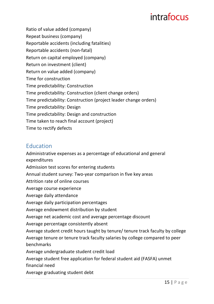Ratio of value added (company) Repeat business (company) Reportable accidents (including fatalities) Reportable accidents (non-fatal) Return on capital employed (company) Return on investment (client) Return on value added (company) Time for construction Time predictability: Construction Time predictability: Construction (client change orders) Time predictability: Construction (project leader change orders) Time predictability: Design Time predictability: Design and construction Time taken to reach final account (project) Time to rectify defects

#### Education

Administrative expenses as a percentage of educational and general expenditures Admission test scores for entering students Annual student survey: Two-year comparison in five key areas Attrition rate of online courses Average course experience Average daily attendance Average daily participation percentages Average endowment distribution by student Average net academic cost and average percentage discount Average percentage consistently absent Average student credit hours taught by tenure/ tenure track faculty by college Average tenure or tenure track faculty salaries by college compared to peer benchmarks Average undergraduate student credit load Average student free application for federal student aid (FASFA) unmet financial need Average graduating student debt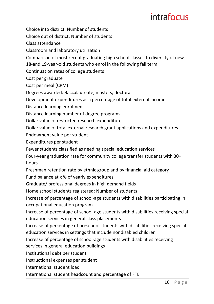Choice into district: Number of students

Choice out of district: Number of students

Class attendance

Classroom and laboratory utilization

Comparison of most recent graduating high school classes to diversity of new

18-and 19-year-old students who enrol in the following fall term

Continuation rates of college students

Cost per graduate

Cost per meal (CPM)

Degrees awarded: Baccalaureate, masters, doctoral

Development expenditures as a percentage of total external income

Distance learning enrolment

Distance learning number of degree programs

Dollar value of restricted research expenditures

Dollar value of total external research grant applications and expenditures

Endowment value per student

Expenditures per student

Fewer students classified as needing special education services

Four-year graduation rate for community college transfer students with 30+ hours

Freshman retention rate by ethnic group and by financial aid category

Fund balance at x % of yearly expenditures

Graduate/ professional degrees in high demand fields

Home school students registered: Number of students

Increase of percentage of school-age students with disabilities participating in occupational education program

Increase of percentage of school-age students with disabilities receiving special education services in general class placements

Increase of percentage of preschool students with disabilities receiving special education services in settings that include nondisabled children

Increase of percentage of school-age students with disabilities receiving

services in general education buildings

Institutional debt per student

Instructional expenses per student

International student load

International student headcount and percentage of FTE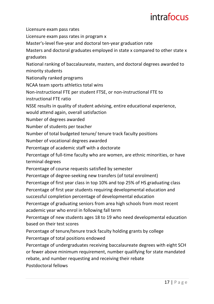Licensure exam pass rates

Licensure exam pass rates in program x

Master's-level five-year and doctoral ten-year graduation rate

Masters and doctoral graduates employed in state x compared to other state x graduates

National ranking of baccalaureate, masters, and doctoral degrees awarded to minority students

Nationally ranked programs

NCAA team sports athletics total wins

Non-instructional FTE per student FTSE, or non-instructional FTE to

instructional FTE ratio

NSSE results in quality of student advising, entire educational experience, would attend again, overall satisfaction

Number of degrees awarded

Number of students per teacher

Number of total budgeted tenure/ tenure track faculty positions

Number of vocational degrees awarded

Percentage of academic staff with a doctorate

Percentage of full-time faculty who are women, are ethnic minorities, or have terminal degrees

Percentage of course requests satisfied by semester

Percentage of degree-seeking new transfers (of total enrolment)

Percentage of first year class in top 10% and top 25% of HS graduating class

Percentage of first year students requiring developmental education and successful completion percentage of developmental education

Percentage of graduating seniors from area high schools from most recent academic year who enrol in following fall term

Percentage of new students ages 18 to 19 who need developmental education based on their test scores

Percentage of tenure/tenure track faculty holding grants by college

Percentage of total positions endowed

Percentage of undergraduates receiving baccalaureate degrees with eight SCH or fewer above minimum requirement, number qualifying for state mandated rebate, and number requesting and receiving their rebate

Postdoctoral fellows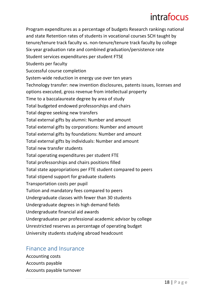Program expenditures as a percentage of budgets Research rankings national and state Retention rates of students in vocational courses SCH taught by tenure/tenure track faculty vs. non-tenure/tenure track faculty by college Six-year graduation rate and combined graduation/persistence rate Student services expenditures per student FTSE Students per faculty Successful course completion System-wide reduction in energy use over ten years Technology transfer: new invention disclosures, patents issues, licenses and options executed, gross revenue from intellectual property Time to a baccalaureate degree by area of study Total budgeted endowed professorships and chairs Total degree seeking new transfers Total external gifts by alumni: Number and amount Total external gifts by corporations: Number and amount Total external gifts by foundations: Number and amount Total external gifts by individuals: Number and amount Total new transfer students Total operating expenditures per student FTE Total professorships and chairs positions filled Total state appropriations per FTE student compared to peers Total stipend support for graduate students Transportation costs per pupil Tuition and mandatory fees compared to peers Undergraduate classes with fewer than 30 students Undergraduate degrees in high demand fields Undergraduate financial aid awards Undergraduates per professional academic advisor by college Unrestricted reserves as percentage of operating budget University students studying abroad headcount

#### Finance and Insurance

Accounting costs Accounts payable Accounts payable turnover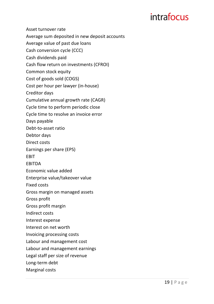Asset turnover rate Average sum deposited in new deposit accounts Average value of past due loans Cash conversion cycle (CCC) Cash dividends paid Cash flow return on investments (CFROI) Common stock equity Cost of goods sold (COGS) Cost per hour per lawyer (in-house) Creditor days Cumulative annual growth rate (CAGR) Cycle time to perform periodic close Cycle time to resolve an invoice error Days payable Debt-to-asset ratio Debtor days Direct costs Earnings per share (EPS) EBIT EBITDA Economic value added Enterprise value/takeover value Fixed costs Gross margin on managed assets Gross profit Gross profit margin Indirect costs Interest expense Interest on net worth Invoicing processing costs Labour and management cost Labour and management earnings Legal staff per size of revenue Long-term debt Marginal costs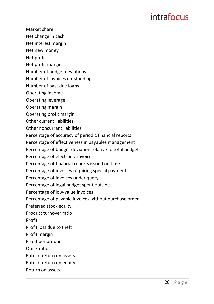- Market share
- Net change in cash
- Net interest margin
- Net new money
- Net profit
- Net profit margin
- Number of budget deviations
- Number of invoices outstanding
- Number of past due loans
- Operating income
- Operating leverage
- Operating margin
- Operating profit margin
- Other current liabilities
- Other noncurrent liabilities
- Percentage of accuracy of periodic financial reports
- Percentage of effectiveness in payables management
- Percentage of budget deviation relative to total budget
- Percentage of electronic invoices
- Percentage of financial reports issued on time
- Percentage of invoices requiring special payment
- Percentage of invoices under query
- Percentage of legal budget spent outside
- Percentage of low-value invoices
- Percentage of payable invoices without purchase order
- Preferred stock equity
- Product turnover ratio
- Profit
- Profit loss due to theft
- Profit margin
- Profit per product
- Quick ratio
- Rate of return on assets
- Rate of return on equity
- Return on assets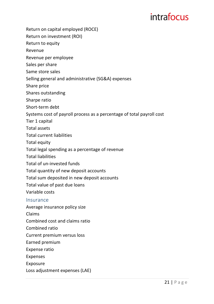- Return on capital employed (ROCE)
- Return on investment (ROI)
- Return to equity
- Revenue
- Revenue per employee
- Sales per share
- Same store sales
- Selling general and administrative (SG&A) expenses
- Share price
- Shares outstanding
- Sharpe ratio
- Short-term debt
- Systems cost of payroll process as a percentage of total payroll cost
- Tier 1 capital
- Total assets
- Total current liabilities
- Total equity
- Total legal spending as a percentage of revenue
- **Total liabilities**
- Total of un-invested funds
- Total quantity of new deposit accounts
- Total sum deposited in new deposit accounts
- Total value of past due loans
- Variable costs

#### Insurance

- Average insurance policy size
- Claims
- Combined cost and claims ratio
- Combined ratio
- Current premium versus loss
- Earned premium
- Expense ratio
- Expenses
- Exposure
- Loss adjustment expenses (LAE)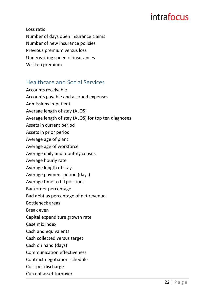Loss ratio

Number of days open insurance claims Number of new insurance policies Previous premium versus loss Underwriting speed of insurances

Written premium

#### Healthcare and Social Services

Accounts receivable Accounts payable and accrued expenses Admissions in-patient Average length of stay (ALOS) Average length of stay (ALOS) for top ten diagnoses Assets in current period Assets in prior period Average age of plant Average age of workforce Average daily and monthly census Average hourly rate Average length of stay Average payment period (days) Average time to fill positions Backorder percentage Bad debt as percentage of net revenue Bottleneck areas Break even Capital expenditure growth rate Case mix index Cash and equivalents Cash collected versus target Cash on hand (days) Communication effectiveness Contract negotiation schedule Cost per discharge Current asset turnover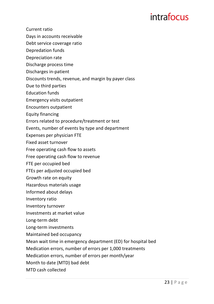- Current ratio
- Days in accounts receivable
- Debt service coverage ratio
- Depredation funds
- Depreciation rate
- Discharge process time
- Discharges in-patient
- Discounts trends, revenue, and margin by payer class
- Due to third parties
- Education funds
- Emergency visits outpatient
- Encounters outpatient
- Equity financing
- Errors related to procedure/treatment or test
- Events, number of events by type and department
- Expenses per physician FTE
- Fixed asset turnover
- Free operating cash flow to assets
- Free operating cash flow to revenue
- FTE per occupied bed
- FTEs per adjusted occupied bed
- Growth rate on equity
- Hazardous materials usage
- Informed about delays
- Inventory ratio
- Inventory turnover
- Investments at market value
- Long-term debt
- Long-term investments
- Maintained bed occupancy
- Mean wait time in emergency department (ED) for hospital bed
- Medication errors, number of errors per 1,000 treatments
- Medication errors, number of errors per month/year
- Month to date (MTD) bad debt
- MTD cash collected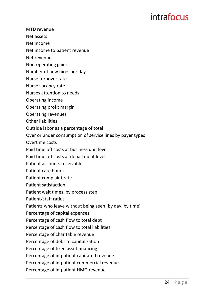- MTD revenue
- Net assets
- Net income
- Net income to patient revenue
- Net revenue
- Non-operating gains
- Number of new hires per day
- Nurse turnover rate
- Nurse vacancy rate
- Nurses attention to needs
- Operating income
- Operating profit margin
- Operating revenues
- **Other liabilities**
- Outside labor as a percentage of total
- Over or under consumption of service lines by payer types
- Overtime costs
- Paid time off costs at business unit level
- Paid time off costs at department level
- Patient accounts receivable
- Patient care hours
- Patient complaint rate
- Patient satisfaction
- Patient wait times, by process step
- Patient/staff ratios
- Patients who leave without being seen (by day, by time)
- Percentage of capital expenses
- Percentage of cash flow to total debt
- Percentage of cash flow to total liabilities
- Percentage of charitable revenue
- Percentage of debt to capitalization
- Percentage of fixed asset financing
- Percentage of in-patient capitated revenue
- Percentage of in-patient commercial revenue
- Percentage of in-patient HMO revenue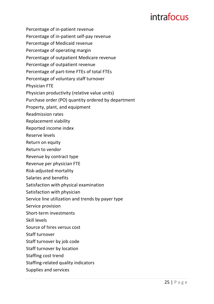- Percentage of in-patient revenue
- Percentage of in-patient self-pay revenue
- Percentage of Medicaid revenue
- Percentage of operating margin
- Percentage of outpatient Medicare revenue
- Percentage of outpatient revenue
- Percentage of part-time FTEs of total FTEs
- Percentage of voluntary staff turnover
- Physician FTE
- Physician productivity (relative value units)
- Purchase order (PO) quantity ordered by department
- Property, plant, and equipment
- Readmission rates
- Replacement viability
- Reported income index
- Reserve levels
- Return on equity
- Return to vendor
- Revenue by contract type
- Revenue per physician FTE
- Risk-adjusted mortality
- Salaries and benefits
- Satisfaction with physical examination
- Satisfaction with physician
- Service line utilization and trends by payer type
- Service provision
- Short-term investments
- Skill levels
- Source of hires versus cost
- Staff turnover
- Staff turnover by job code
- Staff turnover by location
- Staffing cost trend
- Staffing-related quality indicators
- Supplies and services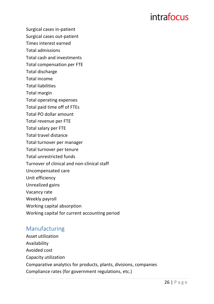Surgical cases in-patient

Surgical cases out-patient

Times interest earned

Total admissions

Total cash and investments

Total compensation per FTE

- Total discharge
- Total income
- **Total liabilities**
- Total margin
- Total operating expenses
- Total paid time off of FTEs
- Total PO dollar amount
- Total revenue per FTE
- Total salary per FTE
- Total travel distance
- Total turnover per manager
- Total turnover per tenure
- Total unrestricted funds
- Turnover of clinical and non-clinical staff
- Uncompensated care
- Unit efficiency
- Unrealized gains
- Vacancy rate
- Weekly payroll
- Working capital absorption
- Working capital for current accounting period

#### Manufacturing

Asset utilization Availability Avoided cost Capacity utilization Comparative analytics for products, plants, divisions, companies Compliance rates (for government regulations, etc.)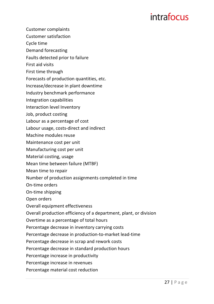- Customer complaints
- Customer satisfaction
- Cycle time
- Demand forecasting
- Faults detected prior to failure
- First aid visits
- First time through
- Forecasts of production quantities, etc.
- Increase/decrease in plant downtime
- Industry benchmark performance
- Integration capabilities
- Interaction level Inventory
- Job, product costing
- Labour as a percentage of cost
- Labour usage, costs-direct and indirect
- Machine modules reuse
- Maintenance cost per unit
- Manufacturing cost per unit
- Material costing, usage
- Mean time between failure (MTBF)
- Mean time to repair
- Number of production assignments completed in time
- On-time orders
- On-time shipping
- Open orders
- Overall equipment effectiveness
- Overall production efficiency of a department, plant, or division
- Overtime as a percentage of total hours
- Percentage decrease in inventory carrying costs
- Percentage decrease in production-to-market lead-time
- Percentage decrease in scrap and rework costs
- Percentage decrease in standard production hours
- Percentage increase in productivity
- Percentage increase in revenues
- Percentage material cost reduction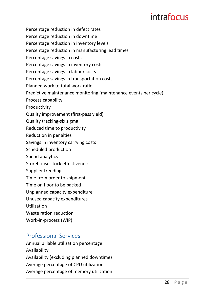- Percentage reduction in defect rates
- Percentage reduction in downtime
- Percentage reduction in inventory levels
- Percentage reduction in manufacturing lead times
- Percentage savings in costs
- Percentage savings in inventory costs
- Percentage savings in labour costs
- Percentage savings in transportation costs
- Planned work to total work ratio
- Predictive maintenance monitoring (maintenance events per cycle)
- Process capability
- Productivity
- Quality improvement (first-pass yield)
- Quality tracking-six sigma
- Reduced time to productivity
- **Reduction in penalties**
- Savings in inventory carrying costs
- Scheduled production
- Spend analytics
- Storehouse stock effectiveness
- Supplier trending
- Time from order to shipment
- Time on floor to be packed
- Unplanned capacity expenditure
- Unused capacity expenditures
- Utilization
- Waste ration reduction
- Work-in-process (WIP)

#### Professional Services

Annual billable utilization percentage Availability Availability (excluding planned downtime) Average percentage of CPU utilization Average percentage of memory utilization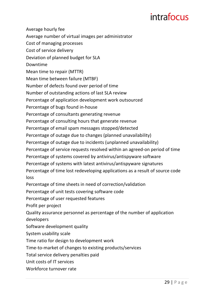Average hourly fee Average number of virtual images per administrator Cost of managing processes Cost of service delivery Deviation of planned budget for SLA Downtime Mean time to repair (MTTR) Mean time between failure (MTBF) Number of defects found over period of time Number of outstanding actions of last SLA review Percentage of application development work outsourced Percentage of bugs found in-house Percentage of consultants generating revenue Percentage of consulting hours that generate revenue Percentage of email spam messages stopped/detected Percentage of outage due to changes (planned unavailability) Percentage of outage due to incidents (unplanned unavailability) Percentage of service requests resolved within an agreed-on period of time Percentage of systems covered by antivirus/antispyware software Percentage of systems with latest antivirus/antispyware signatures Percentage of time lost redeveloping applications as a result of source code loss Percentage of time sheets in need of correction/validation Percentage of unit tests covering software code Percentage of user requested features Profit per project Quality assurance personnel as percentage of the number of application developers Software development quality System usability scale Time ratio for design to development work Time-to-market of changes to existing products/services Total service delivery penalties paid Unit costs of IT services Workforce turnover rate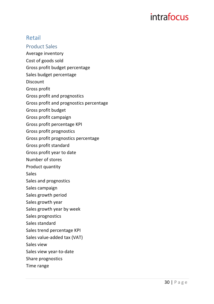#### Retail

- **Product Sales**
- Average inventory
- Cost of goods sold
- Gross profit budget percentage
- Sales budget percentage
- **Discount**
- Gross profit
- Gross profit and prognostics
- Gross profit and prognostics percentage
- Gross profit budget
- Gross profit campaign
- Gross profit percentage KPI
- Gross profit prognostics
- Gross profit prognostics percentage
- Gross profit standard
- Gross profit year to date
- Number of stores
- Product quantity
- Sales
- Sales and prognostics
- Sales campaign
- Sales growth period
- Sales growth year
- Sales growth year by week
- Sales prognostics
- Sales standard
- Sales trend percentage KPI
- Sales value-added tax (VAT)
- Sales view
- Sales view year-to-date
- Share prognostics
- Time range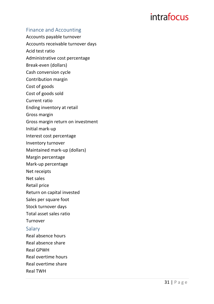#### Finance and Accounting

Accounts payable turnover Accounts receivable turnover days Acid test ratio Administrative cost percentage Break -even (dollars) Cash conversion cycle Contribution margin Cost of goods Cost of goods sold Current ratio Ending inventory at retail Gross margin Gross margin return on investment Initial mark-up Interest cost percentage Inventory turnover Maintained mark-up (dollars) Margin percentage Mark-up percentage Net receipts Net sales Retail price Return on capital invested Sales per square foot

Stock turnover days

Total asset sales ratio

Turnover

#### Salary

Real absence hours

Real absence share

Real GPWH

Real overtime hours

Real overtime share

Real TWH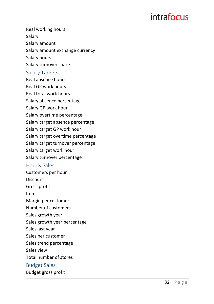Real working hours Salary Salary amount Salary amount exchange currency Salary hours Salary turnover share Salary Targets Real absence hours Real GP work hours Real total work hours Salary absence percentage Salary GP work hour Salary overtime percentage

Salary target absence percentage

Salary target GP work hour

Salary target overtime percentage

Salary target turnover percentage

Salary target work hour

Salary turnover percentage

#### **Hourly Sales**

Customers per hour

**Discount** 

Gross profit

Items

Margin per customer

Number of customers

Sales growth year

Sales growth year percentage

Sales last year

Sales per customer

Sales trend percentage

Sales view

Total number of stores

#### **Budget Sales**

Budget gross profit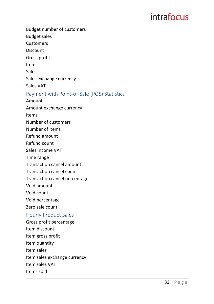Budget number of customers

**Budget sales** 

**Customers** 

Discount

Gross profit

Items

Sales

Sales exchange currency

Sales VAT

#### Payment with Point-of-Sale (POS) Statistics

Amount

Amount exchange currency

Items

Number of customers

Number of items

Refund amount

Refund count

Sales income VAT

Time range

Transaction cancel amount

Transaction cancel count

Transaction cancel percentage

Void amount

Void count

Void percentage

Zero sale count

#### Hourly Product Sales

Gross profit percentage Item discount Item gross profit Item quantity Item sales Item sales exchange currency Item sales VAT Items sold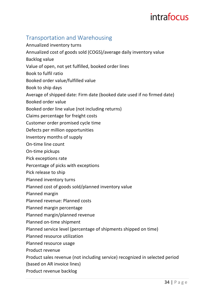#### Transportation and Warehousing

Annualized inventory turns Annualized cost of goods sold (COGS)/average daily inventory value Backlog value Value of open, not yet fulfilled, booked order lines Book to fulfil ratio Booked order value/fulfilled value Book to ship days Average of shipped date: Firm date (booked date used if no firmed date) Booked order value Booked order line value (not including returns) Claims percentage for freight costs Customer order promised cycle time Defects per million opportunities Inventory months of supply On-time line count On-time pickups Pick exceptions rate Percentage of picks with exceptions Pick release to ship Planned inventory turns Planned cost of goods sold/planned inventory value Planned margin Planned revenue: Planned costs Planned margin percentage Planned margin/planned revenue Planned on-time shipment Planned service level (percentage of shipments shipped on time) Planned resource utilization Planned resource usage Product revenue Product sales revenue (not including service) recognized in selected period (based on AR invoice lines)

Product revenue backlog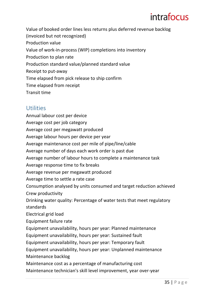Value of booked order lines less returns plus deferred revenue backlog (invoiced but not recognized) Production value Value of work-in-process (WIP) completions into inventory Production to plan rate Production standard value/planned standard value Receipt to put-away Time elapsed from pick release to ship confirm Time elapsed from receipt Transit time

#### **Utilities**

Annual labour cost per device Average cost per job category Average cost per megawatt produced Average labour hours per device per year Average maintenance cost per mile of pipe/line/cable Average number of days each work order is past due Average number of labour hours to complete a maintenance task Average response time to fix breaks Average revenue per megawatt produced Average time to settle a rate case Consumption analysed by units consumed and target reduction achieved Crew productivity Drinking water quality: Percentage of water tests that meet regulatory standards Electrical grid load Equipment failure rate Equipment unavailability, hours per year: Planned maintenance Equipment unavailability, hours per year: Sustained fault Equipment unavailability, hours per year: Temporary fault Equipment unavailability, hours per year: Unplanned maintenance Maintenance backlog Maintenance cost as a percentage of manufacturing cost Maintenance technician's skill level improvement, year over-year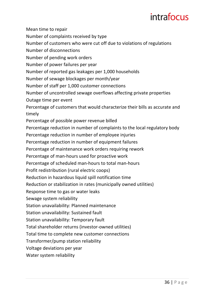Mean time to repair Number of complaints received by type Number of customers who were cut off due to violations of regulations Number of disconnections Number of pending work orders Number of power failures per year Number of reported gas leakages per 1,000 households Number of sewage blockages per month/year Number of staff per 1,000 customer connections Number of uncontrolled sewage overflows affecting private properties Outage time per event Percentage of customers that would characterize their bills as accurate and timely Percentage of possible power revenue billed Percentage reduction in number of complaints to the local regulatory body Percentage reduction in number of employee injuries Percentage reduction in number of equipment failures Percentage of maintenance work orders requiring rework Percentage of man-hours used for proactive work Percentage of scheduled man-hours to total man-hours Profit redistribution (rural electric coops) Reduction in hazardous liquid spill notification time Reduction or stabilization in rates (municipally owned utilities) Response time to gas or water leaks Sewage system reliability Station unavailability: Planned maintenance Station unavailability: Sustained fault Station unavailability: Temporary fault Total shareholder returns (investor-owned utilities) Total time to complete new customer connections

Transformer/pump station reliability

Voltage deviations per year

Water system reliability